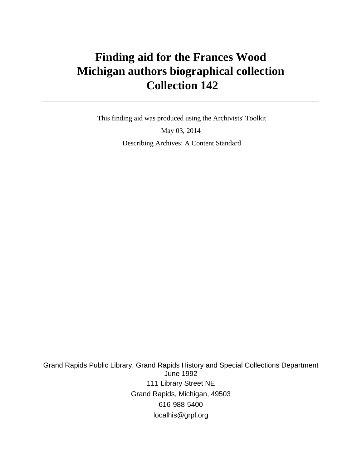# **Finding aid for the Frances Wood Michigan authors biographical collection Collection 142**

 This finding aid was produced using the Archivists' Toolkit May 03, 2014 Describing Archives: A Content Standard

Grand Rapids Public Library, Grand Rapids History and Special Collections Department June 1992 111 Library Street NE Grand Rapids, Michigan, 49503 616-988-5400 localhis@grpl.org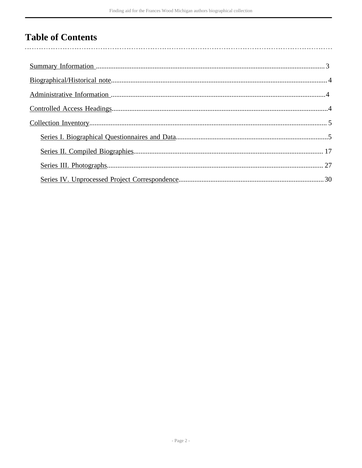# **Table of Contents**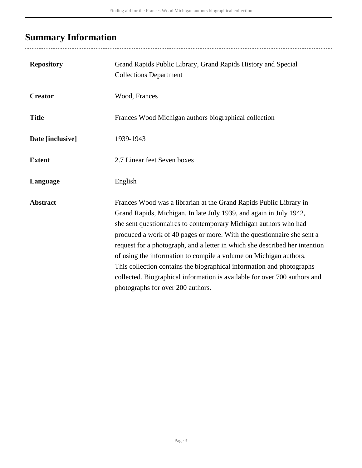# <span id="page-2-0"></span>**Summary Information**

..................................

| <b>Repository</b> | Grand Rapids Public Library, Grand Rapids History and Special<br><b>Collections Department</b>                                                                                                                                                                                                                                                                                                                                                                                                                                                                                                                                        |
|-------------------|---------------------------------------------------------------------------------------------------------------------------------------------------------------------------------------------------------------------------------------------------------------------------------------------------------------------------------------------------------------------------------------------------------------------------------------------------------------------------------------------------------------------------------------------------------------------------------------------------------------------------------------|
| <b>Creator</b>    | Wood, Frances                                                                                                                                                                                                                                                                                                                                                                                                                                                                                                                                                                                                                         |
| <b>Title</b>      | Frances Wood Michigan authors biographical collection                                                                                                                                                                                                                                                                                                                                                                                                                                                                                                                                                                                 |
| Date [inclusive]  | 1939-1943                                                                                                                                                                                                                                                                                                                                                                                                                                                                                                                                                                                                                             |
| <b>Extent</b>     | 2.7 Linear feet Seven boxes                                                                                                                                                                                                                                                                                                                                                                                                                                                                                                                                                                                                           |
| Language          | English                                                                                                                                                                                                                                                                                                                                                                                                                                                                                                                                                                                                                               |
| <b>Abstract</b>   | Frances Wood was a librarian at the Grand Rapids Public Library in<br>Grand Rapids, Michigan. In late July 1939, and again in July 1942,<br>she sent questionnaires to contemporary Michigan authors who had<br>produced a work of 40 pages or more. With the questionnaire she sent a<br>request for a photograph, and a letter in which she described her intention<br>of using the information to compile a volume on Michigan authors.<br>This collection contains the biographical information and photographs<br>collected. Biographical information is available for over 700 authors and<br>photographs for over 200 authors. |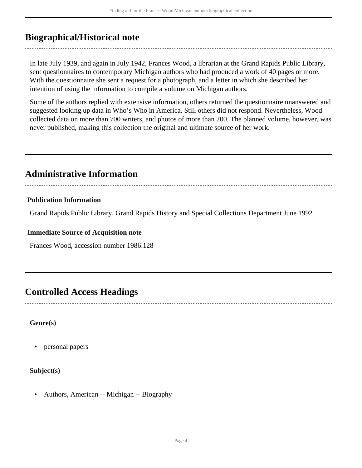## <span id="page-3-0"></span>**Biographical/Historical note**

In late July 1939, and again in July 1942, Frances Wood, a librarian at the Grand Rapids Public Library, sent questionnaires to contemporary Michigan authors who had produced a work of 40 pages or more. With the questionnaire she sent a request for a photograph, and a letter in which she described her intention of using the information to compile a volume on Michigan authors.

Some of the authors replied with extensive information, others returned the questionnaire unanswered and suggested looking up data in Who's Who in America. Still others did not respond. Nevertheless, Wood collected data on more than 700 writers, and photos of more than 200. The planned volume, however, was never published, making this collection the original and ultimate source of her work.

## <span id="page-3-1"></span>**Administrative Information**

### **Publication Information**

Grand Rapids Public Library, Grand Rapids History and Special Collections Department June 1992

#### **Immediate Source of Acquisition note**

Frances Wood, accession number 1986.128

## <span id="page-3-2"></span>**Controlled Access Headings**

#### **Genre(s)**

• personal papers

## **Subject(s)**

• Authors, American -- Michigan -- Biography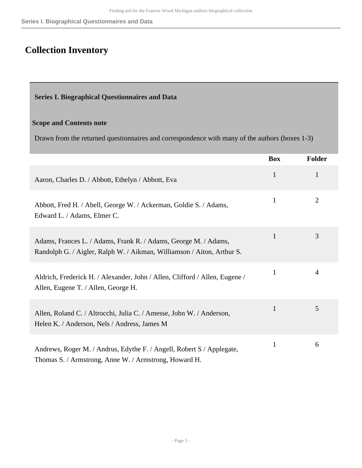# <span id="page-4-0"></span>**Collection Inventory**

### <span id="page-4-1"></span>**Series I. Biographical Questionnaires and Data**

#### **Scope and Contents note**

Drawn from the returned questionnaires and correspondence with many of the authors (boxes 1-3)

|                                                                                                                                           | <b>Box</b>   | <b>Folder</b>  |
|-------------------------------------------------------------------------------------------------------------------------------------------|--------------|----------------|
| Aaron, Charles D. / Abbott, Ethelyn / Abbott, Eva                                                                                         | $\mathbf{1}$ | $\mathbf{1}$   |
| Abbott, Fred H. / Abell, George W. / Ackerman, Goldie S. / Adams,<br>Edward L. / Adams, Elmer C.                                          | $\mathbf{1}$ | $\overline{2}$ |
| Adams, Frances L. / Adams, Frank R. / Adams, George M. / Adams,<br>Randolph G. / Aigler, Ralph W. / Aikman, Williamson / Aiton, Arthur S. | $\mathbf{1}$ | 3              |
| Aldrich, Frederick H. / Alexander, John / Allen, Clifford / Allen, Eugene /<br>Allen, Eugene T. / Allen, George H.                        | $\mathbf{1}$ | 4              |
| Allen, Roland C. / Altrocchi, Julia C. / Amesse, John W. / Anderson,<br>Helen K. / Anderson, Nels / Andress, James M.                     | $\mathbf{1}$ | 5              |
| Andrews, Roger M. / Andrus, Edythe F. / Angell, Robert S / Applegate,<br>Thomas S. / Armstrong, Anne W. / Armstrong, Howard H.            | $\mathbf{1}$ | 6              |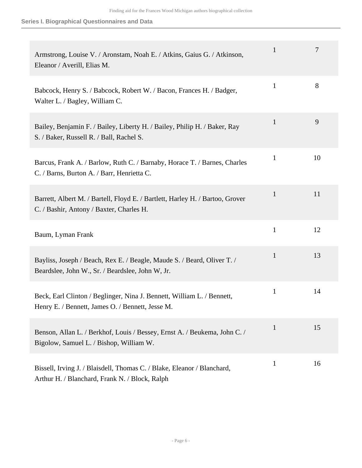| Armstrong, Louise V. / Aronstam, Noah E. / Atkins, Gaius G. / Atkinson,<br>Eleanor / Averill, Elias M.                      | $\mathbf{1}$ | 7  |
|-----------------------------------------------------------------------------------------------------------------------------|--------------|----|
| Babcock, Henry S. / Babcock, Robert W. / Bacon, Frances H. / Badger,<br>Walter L. / Bagley, William C.                      | $\mathbf{1}$ | 8  |
| Bailey, Benjamin F. / Bailey, Liberty H. / Bailey, Philip H. / Baker, Ray<br>S. / Baker, Russell R. / Ball, Rachel S.       | $\mathbf{1}$ | 9  |
| Barcus, Frank A. / Barlow, Ruth C. / Barnaby, Horace T. / Barnes, Charles<br>C. / Barns, Burton A. / Barr, Henrietta C.     | $\mathbf{1}$ | 10 |
| Barrett, Albert M. / Bartell, Floyd E. / Bartlett, Harley H. / Bartoo, Grover<br>C. / Bashir, Antony / Baxter, Charles H.   | $\mathbf{1}$ | 11 |
| Baum, Lyman Frank                                                                                                           | $\mathbf{1}$ | 12 |
| Bayliss, Joseph / Beach, Rex E. / Beagle, Maude S. / Beard, Oliver T. /<br>Beardslee, John W., Sr. / Beardslee, John W, Jr. | $\mathbf{1}$ | 13 |
| Beck, Earl Clinton / Beglinger, Nina J. Bennett, William L. / Bennett,<br>Henry E. / Bennett, James O. / Bennett, Jesse M.  | $\mathbf{1}$ | 14 |
| Benson, Allan L. / Berkhof, Louis / Bessey, Ernst A. / Beukema, John C. /<br>Bigolow, Samuel L. / Bishop, William W.        | $\mathbf{1}$ | 15 |
| Bissell, Irving J. / Blaisdell, Thomas C. / Blake, Eleanor / Blanchard,<br>Arthur H. / Blanchard, Frank N. / Block, Ralph   | $\mathbf{1}$ | 16 |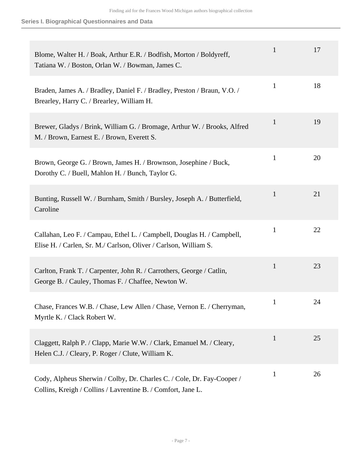| Blome, Walter H. / Boak, Arthur E.R. / Bodfish, Morton / Boldyreff,<br>Tatiana W. / Boston, Orlan W. / Bowman, James C.                    | $\mathbf{1}$ | 17 |
|--------------------------------------------------------------------------------------------------------------------------------------------|--------------|----|
| Braden, James A. / Bradley, Daniel F. / Bradley, Preston / Braun, V.O. /<br>Brearley, Harry C. / Brearley, William H.                      | $\mathbf{1}$ | 18 |
| Brewer, Gladys / Brink, William G. / Bromage, Arthur W. / Brooks, Alfred<br>M. / Brown, Earnest E. / Brown, Everett S.                     | $\mathbf{1}$ | 19 |
| Brown, George G. / Brown, James H. / Brownson, Josephine / Buck,<br>Dorothy C. / Buell, Mahlon H. / Bunch, Taylor G.                       | $\mathbf{1}$ | 20 |
| Bunting, Russell W. / Burnham, Smith / Bursley, Joseph A. / Butterfield,<br>Caroline                                                       | $\mathbf{1}$ | 21 |
| Callahan, Leo F. / Campau, Ethel L. / Campbell, Douglas H. / Campbell,<br>Elise H. / Carlen, Sr. M./ Carlson, Oliver / Carlson, William S. | $\mathbf{1}$ | 22 |
| Carlton, Frank T. / Carpenter, John R. / Carrothers, George / Catlin,<br>George B. / Cauley, Thomas F. / Chaffee, Newton W.                | 1            | 23 |
| Chase, Frances W.B. / Chase, Lew Allen / Chase, Vernon E. / Cherryman,<br>Myrtle K. / Clack Robert W.                                      | $\mathbf{1}$ | 24 |
| Claggett, Ralph P. / Clapp, Marie W.W. / Clark, Emanuel M. / Cleary,<br>Helen C.J. / Cleary, P. Roger / Clute, William K.                  | $\mathbf{1}$ | 25 |
| Cody, Alpheus Sherwin / Colby, Dr. Charles C. / Cole, Dr. Fay-Cooper /<br>Collins, Kreigh / Collins / Lavrentine B. / Comfort, Jane L.     | $\mathbf{1}$ | 26 |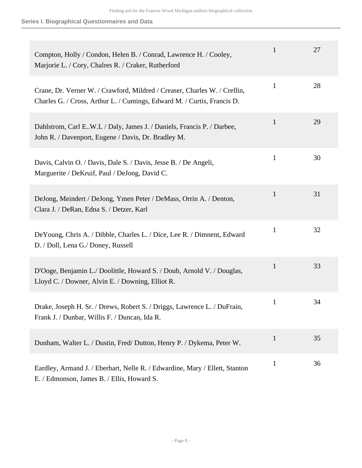| Compton, Holly / Condon, Helen B. / Conrad, Lawrence H. / Cooley,<br>Marjorie L. / Cory, Chalres R. / Craker, Rutherford                             | $\mathbf{1}$ | 27 |
|------------------------------------------------------------------------------------------------------------------------------------------------------|--------------|----|
| Crane, Dr. Verner W. / Crawford, Mildred / Creaser, Charles W. / Crellin,<br>Charles G. / Cross, Arthur L. / Cumings, Edward M. / Curtis, Francis D. | $\mathbf{1}$ | 28 |
| Dahlstrom, Carl E.W.L / Daly, James J. / Daniels, Francis P. / Darbee,<br>John R. / Davenport, Eugene / Davis, Dr. Bradley M.                        | $\mathbf{1}$ | 29 |
| Davis, Calvin O. / Davis, Dale S. / Davis, Jesse B. / De Angeli,<br>Marguerite / DeKruif, Paul / DeJong, David C.                                    | $\mathbf{1}$ | 30 |
| DeJong, Meindert / DeJong, Ymen Peter / DeMass, Orrin A. / Denton,<br>Clara J. / DeRan, Edna S. / Detzer, Karl                                       | 1            | 31 |
| De Young, Chris A. / Dibble, Charles L. / Dice, Lee R. / Dimnent, Edward<br>D. / Doll, Lena G./ Doney, Russell                                       | $\mathbf{1}$ | 32 |
| D'Ooge, Benjamin L./ Doolittle, Howard S. / Doub, Arnold V. / Douglas,<br>Lloyd C. / Downer, Alvin E. / Downing, Elliot R.                           | 1            | 33 |
| Drake, Joseph H. Sr. / Drews, Robert S. / Driggs, Lawrence L. / DuFrain,<br>Frank J. / Dunbar, Willis F. / Duncan, Ida R.                            | $\mathbf{1}$ | 34 |
| Dunham, Walter L. / Dustin, Fred/ Dutton, Henry P. / Dykema, Peter W.                                                                                | $\mathbf{1}$ | 35 |
| Eardley, Armand J. / Eberhart, Nelle R. / Edwardine, Mary / Ellett, Stanton<br>E. / Edmonson, James B. / Ellis, Howard S.                            | $\mathbf{1}$ | 36 |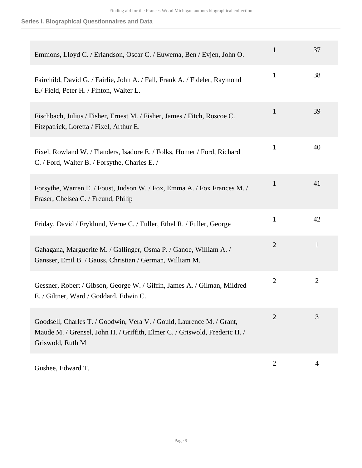| Emmons, Lloyd C. / Erlandson, Oscar C. / Euwema, Ben / Evjen, John O.                                                                                                   | $\mathbf{1}$   | 37             |
|-------------------------------------------------------------------------------------------------------------------------------------------------------------------------|----------------|----------------|
| Fairchild, David G. / Fairlie, John A. / Fall, Frank A. / Fideler, Raymond<br>E./ Field, Peter H. / Finton, Walter L.                                                   | $\mathbf{1}$   | 38             |
| Fischbach, Julius / Fisher, Ernest M. / Fisher, James / Fitch, Roscoe C.<br>Fitzpatrick, Loretta / Fixel, Arthur E.                                                     | $\mathbf{1}$   | 39             |
| Fixel, Rowland W. / Flanders, Isadore E. / Folks, Homer / Ford, Richard<br>C. / Ford, Walter B. / Forsythe, Charles E. /                                                | $\mathbf{1}$   | 40             |
| Forsythe, Warren E. / Foust, Judson W. / Fox, Emma A. / Fox Frances M. /<br>Fraser, Chelsea C. / Freund, Philip                                                         | $\mathbf{1}$   | 41             |
| Friday, David / Fryklund, Verne C. / Fuller, Ethel R. / Fuller, George                                                                                                  | $\mathbf{1}$   | 42             |
| Gahagana, Marguerite M. / Gallinger, Osma P. / Ganoe, William A. /<br>Gansser, Emil B. / Gauss, Christian / German, William M.                                          | $\overline{2}$ | $\mathbf{1}$   |
| Gessner, Robert / Gibson, George W. / Giffin, James A. / Gilman, Mildred<br>E. / Giltner, Ward / Goddard, Edwin C.                                                      | $\overline{2}$ | $\overline{2}$ |
| Goodsell, Charles T. / Goodwin, Vera V. / Gould, Laurence M. / Grant,<br>Maude M. / Grensel, John H. / Griffith, Elmer C. / Griswold, Frederic H. /<br>Griswold, Ruth M | $\overline{2}$ | 3              |
| Gushee, Edward T.                                                                                                                                                       | $\overline{2}$ | 4              |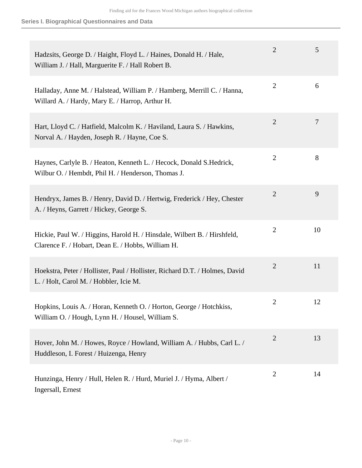| Hadzsits, George D. / Haight, Floyd L. / Haines, Donald H. / Hale,<br>William J. / Hall, Marguerite F. / Hall Robert B.       | $\overline{2}$ | 5  |
|-------------------------------------------------------------------------------------------------------------------------------|----------------|----|
| Halladay, Anne M. / Halstead, William P. / Hamberg, Merrill C. / Hanna,<br>Willard A. / Hardy, Mary E. / Harrop, Arthur H.    | $\mathbf{2}$   | 6  |
| Hart, Lloyd C. / Hatfield, Malcolm K. / Haviland, Laura S. / Hawkins,<br>Norval A. / Hayden, Joseph R. / Hayne, Coe S.        | $\overline{2}$ | 7  |
| Haynes, Carlyle B. / Heaton, Kenneth L. / Hecock, Donald S. Hedrick,<br>Wilbur O. / Hembdt, Phil H. / Henderson, Thomas J.    | $\mathbf{2}$   | 8  |
| Hendryx, James B. / Henry, David D. / Hertwig, Frederick / Hey, Chester<br>A. / Heyns, Garrett / Hickey, George S.            | $\overline{2}$ | 9  |
| Hickie, Paul W. / Higgins, Harold H. / Hinsdale, Wilbert B. / Hirshfeld,<br>Clarence F. / Hobart, Dean E. / Hobbs, William H. | $\overline{2}$ | 10 |
| Hoekstra, Peter / Hollister, Paul / Hollister, Richard D.T. / Holmes, David<br>L. / Holt, Carol M. / Hobbler, Icie M.         | $\overline{2}$ | 11 |
| Hopkins, Louis A. / Horan, Kenneth O. / Horton, George / Hotchkiss,<br>William O. / Hough, Lynn H. / Housel, William S.       | $\overline{2}$ | 12 |
| Hover, John M. / Howes, Royce / Howland, William A. / Hubbs, Carl L. /<br>Huddleson, I. Forest / Huizenga, Henry              | $\overline{2}$ | 13 |
| Hunzinga, Henry / Hull, Helen R. / Hurd, Muriel J. / Hyma, Albert /<br>Ingersall, Ernest                                      | $\overline{2}$ | 14 |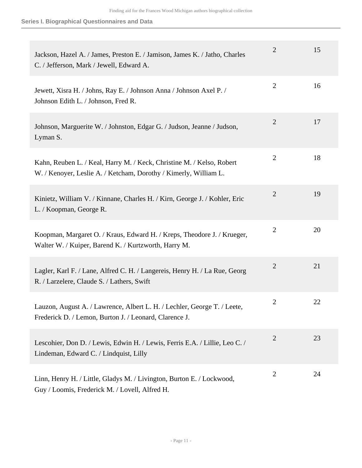| Jackson, Hazel A. / James, Preston E. / Jamison, James K. / Jatho, Charles<br>C. / Jefferson, Mark / Jewell, Edward A.                    | 2              | 15 |
|-------------------------------------------------------------------------------------------------------------------------------------------|----------------|----|
| Jewett, Xisra H. / Johns, Ray E. / Johnson Anna / Johnson Axel P. /<br>Johnson Edith L. / Johnson, Fred R.                                | $\overline{2}$ | 16 |
| Johnson, Marguerite W. / Johnston, Edgar G. / Judson, Jeanne / Judson,<br>Lyman S.                                                        | $\overline{2}$ | 17 |
| Kahn, Reuben L. / Keal, Harry M. / Keck, Christine M. / Kelso, Robert<br>W. / Kenoyer, Leslie A. / Ketcham, Dorothy / Kimerly, William L. | $\overline{2}$ | 18 |
| Kinietz, William V. / Kinnane, Charles H. / Kirn, George J. / Kohler, Eric<br>L. / Koopman, George R.                                     | $\overline{2}$ | 19 |
| Koopman, Margaret O. / Kraus, Edward H. / Kreps, Theodore J. / Krueger,<br>Walter W. / Kuiper, Barend K. / Kurtzworth, Harry M.           | $\overline{2}$ | 20 |
| Lagler, Karl F. / Lane, Alfred C. H. / Langereis, Henry H. / La Rue, Georg<br>R. / Larzelere, Claude S. / Lathers, Swift                  | $\overline{2}$ | 21 |
| Lauzon, August A. / Lawrence, Albert L. H. / Lechler, George T. / Leete,<br>Frederick D. / Lemon, Burton J. / Leonard, Clarence J.        | 2              | 22 |
| Lescohier, Don D. / Lewis, Edwin H. / Lewis, Ferris E.A. / Lillie, Leo C. /<br>Lindeman, Edward C. / Lindquist, Lilly                     | $\overline{2}$ | 23 |
| Linn, Henry H. / Little, Gladys M. / Livington, Burton E. / Lockwood,<br>Guy / Loomis, Frederick M. / Lovell, Alfred H.                   | $\mathfrak{2}$ | 24 |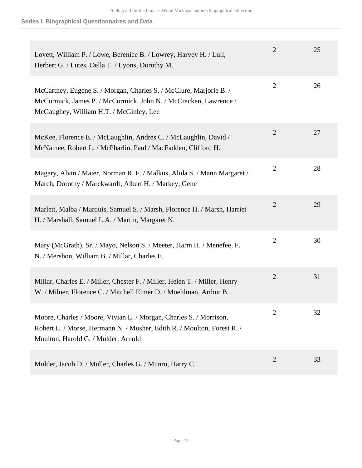| Lovett, William P. / Lowe, Berenice B. / Lowrey, Harvey H. / Lull,<br>Herbert G. / Lutes, Della T. / Lyons, Dorothy M.                                                               | $\overline{2}$ | 25 |
|--------------------------------------------------------------------------------------------------------------------------------------------------------------------------------------|----------------|----|
| McCartney, Eugene S. / Morgan, Charles S. / McClure, Marjorie B. /<br>McCormick, James P. / McCormick, John N. / McCracken, Lawrence /<br>McGaughey, William H.T. / McGinley, Lee    | $\overline{2}$ | 26 |
| McKee, Florence E. / McLaughlin, Andres C. / McLaughlin, David /<br>McNamee, Robert L. / McPharlin, Paul / MacFadden, Clifford H.                                                    | $\overline{2}$ | 27 |
| Magary, Alvin / Maier, Norman R. F. / Malkus, Alida S. / Mann Margaret /<br>March, Dorothy / Marckwardt, Albert H. / Markey, Gene                                                    | $\overline{2}$ | 28 |
| Marlett, Malba / Marquis, Samuel S. / Marsh, Florence H. / Marsh, Harriet<br>H. / Marshall, Samuel L.A. / Martin, Margaret N.                                                        | $\overline{2}$ | 29 |
| Mary (McGrath), Sr. / Mayo, Nelson S. / Meeter, Harm H. / Menefee, F.<br>N. / Mershon, William B. / Millar, Charles E.                                                               | $\overline{2}$ | 30 |
| Millar, Charles E. / Miller, Chester F. / Miller, Helen T. / Miller, Henry<br>W. / Milner, Florence C. / Mitchell Elmer D. / Moehlman, Arthur B.                                     | $\overline{2}$ | 31 |
| Moore, Charles / Moore, Vivian L. / Morgan, Charles S. / Morrison,<br>Robert L. / Morse, Hermann N. / Mosher, Edith R. / Moulton, Forest R. /<br>Moulton, Harold G. / Mulder, Arnold | $\overline{2}$ | 32 |
| Mulder, Jacob D. / Muller, Charles G. / Munro, Harry C.                                                                                                                              | $\overline{2}$ | 33 |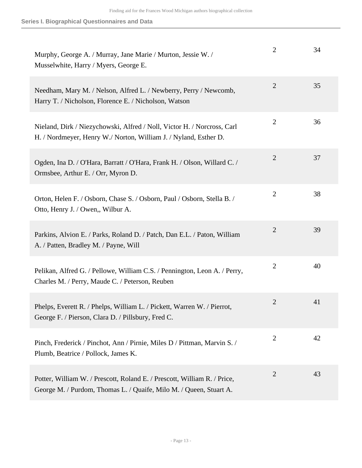| Murphy, George A. / Murray, Jane Marie / Murton, Jessie W. /<br>Musselwhite, Harry / Myers, George E.                                          | $\overline{2}$ | 34 |
|------------------------------------------------------------------------------------------------------------------------------------------------|----------------|----|
| Needham, Mary M. / Nelson, Alfred L. / Newberry, Perry / Newcomb,<br>Harry T. / Nicholson, Florence E. / Nicholson, Watson                     | $\overline{2}$ | 35 |
| Nieland, Dirk / Niezychowski, Alfred / Noll, Victor H. / Norcross, Carl<br>H. / Nordmeyer, Henry W./ Norton, William J. / Nyland, Esther D.    | $\overline{2}$ | 36 |
| Ogden, Ina D. / O'Hara, Barratt / O'Hara, Frank H. / Olson, Willard C. /<br>Ormsbee, Arthur E. / Orr, Myron D.                                 | $\overline{2}$ | 37 |
| Orton, Helen F. / Osborn, Chase S. / Osborn, Paul / Osborn, Stella B. /<br>Otto, Henry J. / Owen,, Wilbur A.                                   | $\mathbf{2}$   | 38 |
| Parkins, Alvion E. / Parks, Roland D. / Patch, Dan E.L. / Paton, William<br>A. / Patten, Bradley M. / Payne, Will                              | $\overline{2}$ | 39 |
| Pelikan, Alfred G. / Pellowe, William C.S. / Pennington, Leon A. / Perry,<br>Charles M. / Perry, Maude C. / Peterson, Reuben                   | $\overline{2}$ | 40 |
| Phelps, Everett R. / Phelps, William L. / Pickett, Warren W. / Pierrot,<br>George F. / Pierson, Clara D. / Pillsbury, Fred C.                  | $\overline{2}$ | 41 |
| Pinch, Frederick / Pinchot, Ann / Pirnie, Miles D / Pittman, Marvin S. /<br>Plumb, Beatrice / Pollock, James K.                                | $\overline{2}$ | 42 |
| Potter, William W. / Prescott, Roland E. / Prescott, William R. / Price,<br>George M. / Purdom, Thomas L. / Quaife, Milo M. / Queen, Stuart A. | $\overline{2}$ | 43 |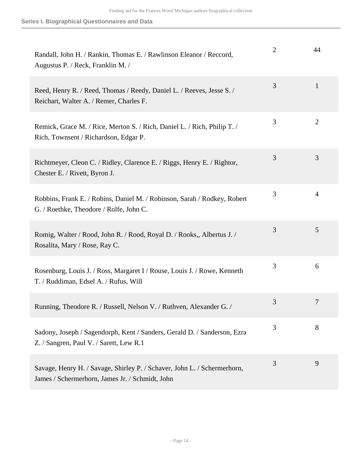| Randall, John H. / Rankin, Thomas E. / Rawlinson Eleanor / Reccord,<br>Augustus P. / Reck, Franklin M. /                    | $\overline{2}$ | 44             |
|-----------------------------------------------------------------------------------------------------------------------------|----------------|----------------|
| Reed, Henry R. / Reed, Thomas / Reedy, Daniel L. / Reeves, Jesse S. /<br>Reichart, Walter A. / Remer, Charles F.            | 3              | $\mathbf{1}$   |
| Remick, Grace M. / Rice, Merton S. / Rich, Daniel L. / Rich, Philip T. /<br>Rich, Townsent / Richardson, Edgar P.           | 3              | $\overline{2}$ |
| Richtmeyer, Cleon C. / Ridley, Clarence E. / Riggs, Henry E. / Rightor,<br>Chester E. / Rivett, Byron J.                    | 3              | 3              |
| Robbins, Frank E. / Robins, Daniel M. / Robinson, Sarah / Rodkey, Robert<br>G. / Roethke, Theodore / Rolfe, John C.         | 3              | 4              |
| Romig, Walter / Rood, John R. / Rood, Royal D. / Rooks,, Albertus J. /<br>Rosalita, Mary / Rose, Ray C.                     | 3              | 5              |
| Rosenburg, Louis J. / Ross, Margaret I / Rouse, Louis J. / Rowe, Kenneth<br>T. / Ruddiman, Edsel A. / Rufus, Will           | 3              | 6              |
| Running, Theodore R. / Russell, Nelson V. / Ruthven, Alexander G. /                                                         | 3              | 7              |
| Sadony, Joseph / Sagendorph, Kent / Sanders, Gerald D. / Sanderson, Ezra<br>Z. / Sangren, Paul V. / Sarett, Lew R.1         | 3              | 8              |
| Savage, Henry H. / Savage, Shirley P. / Schaver, John L. / Schermerhorn,<br>James / Schermerhorn, James Jr. / Schmidt, John | 3              | 9              |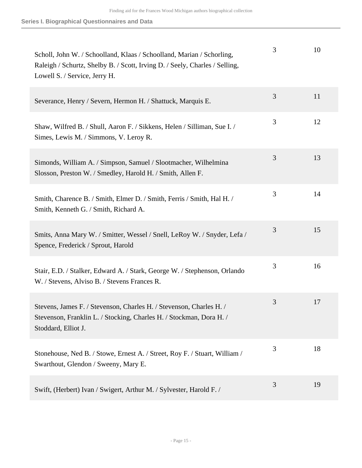| Scholl, John W. / Schoolland, Klaas / Schoolland, Marian / Schorling,<br>Raleigh / Schurtz, Shelby B. / Scott, Irving D. / Seely, Charles / Selling,<br>Lowell S. / Service, Jerry H. | 3 | 10 |
|---------------------------------------------------------------------------------------------------------------------------------------------------------------------------------------|---|----|
| Severance, Henry / Severn, Hermon H. / Shattuck, Marquis E.                                                                                                                           | 3 | 11 |
| Shaw, Wilfred B. / Shull, Aaron F. / Sikkens, Helen / Silliman, Sue I. /<br>Simes, Lewis M. / Simmons, V. Leroy R.                                                                    | 3 | 12 |
| Simonds, William A. / Simpson, Samuel / Slootmacher, Wilhelmina<br>Slosson, Preston W. / Smedley, Harold H. / Smith, Allen F.                                                         | 3 | 13 |
| Smith, Charence B. / Smith, Elmer D. / Smith, Ferris / Smith, Hal H. /<br>Smith, Kenneth G. / Smith, Richard A.                                                                       | 3 | 14 |
| Smits, Anna Mary W. / Smitter, Wessel / Snell, LeRoy W. / Snyder, Lefa /<br>Spence, Frederick / Sprout, Harold                                                                        | 3 | 15 |
| Stair, E.D. / Stalker, Edward A. / Stark, George W. / Stephenson, Orlando<br>W. / Stevens, Alviso B. / Stevens Frances R.                                                             | 3 | 16 |
| Stevens, James F. / Stevenson, Charles H. / Stevenson, Charles H. /<br>Stevenson, Franklin L. / Stocking, Charles H. / Stockman, Dora H. /<br>Stoddard, Elliot J.                     | 3 | 17 |
| Stonehouse, Ned B. / Stowe, Ernest A. / Street, Roy F. / Stuart, William /<br>Swarthout, Glendon / Sweeny, Mary E.                                                                    | 3 | 18 |
| Swift, (Herbert) Ivan / Swigert, Arthur M. / Sylvester, Harold F. /                                                                                                                   | 3 | 19 |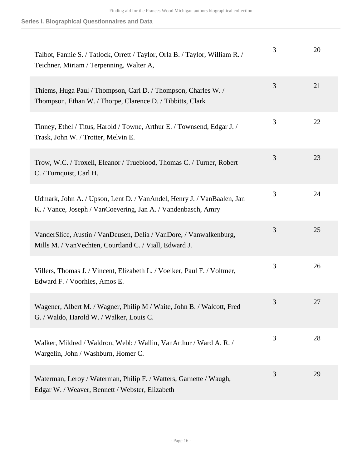| Talbot, Fannie S. / Tatlock, Orrett / Taylor, Orla B. / Taylor, William R. /<br>Teichner, Miriam / Terpenning, Walter A,                | 3 | 20 |
|-----------------------------------------------------------------------------------------------------------------------------------------|---|----|
| Thiems, Huga Paul / Thompson, Carl D. / Thompson, Charles W. /<br>Thompson, Ethan W. / Thorpe, Clarence D. / Tibbitts, Clark            | 3 | 21 |
| Tinney, Ethel / Titus, Harold / Towne, Arthur E. / Townsend, Edgar J. /<br>Trask, John W. / Trotter, Melvin E.                          | 3 | 22 |
| Trow, W.C. / Troxell, Eleanor / Trueblood, Thomas C. / Turner, Robert<br>C. / Turnquist, Carl H.                                        | 3 | 23 |
| Udmark, John A. / Upson, Lent D. / VanAndel, Henry J. / VanBaalen, Jan<br>K. / Vance, Joseph / VanCoevering, Jan A. / Vandenbasch, Amry | 3 | 24 |
| VanderSlice, Austin / VanDeusen, Delia / VanDore, / Vanwalkenburg,<br>Mills M. / Van Vechten, Courtland C. / Viall, Edward J.           | 3 | 25 |
| Villers, Thomas J. / Vincent, Elizabeth L. / Voelker, Paul F. / Voltmer,<br>Edward F. / Voorhies, Amos E.                               | 3 | 26 |
| Wagener, Albert M. / Wagner, Philip M / Waite, John B. / Walcott, Fred<br>G. / Waldo, Harold W. / Walker, Louis C.                      | 3 | 27 |
| Walker, Mildred / Waldron, Webb / Wallin, VanArthur / Ward A. R. /<br>Wargelin, John / Washburn, Homer C.                               | 3 | 28 |
| Waterman, Leroy / Waterman, Philip F. / Watters, Garnette / Waugh,<br>Edgar W. / Weaver, Bennett / Webster, Elizabeth                   | 3 | 29 |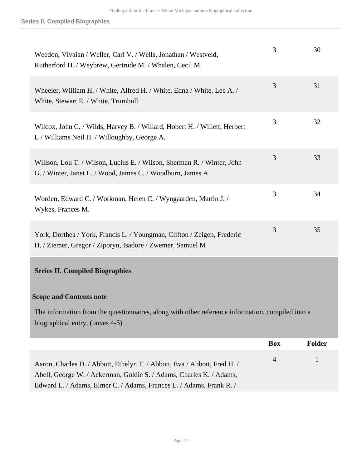<span id="page-16-0"></span>

| Weedon, Vivaian / Weller, Carl V. / Wells, Jonathan / Westveld,<br>Rutherford H. / Weybrew, Gertrude M. / Whalen, Cecil M.                                                                                             | 3              | 30            |
|------------------------------------------------------------------------------------------------------------------------------------------------------------------------------------------------------------------------|----------------|---------------|
| Wheeler, William H. / White, Alfred H. / White, Edna / White, Lee A. /<br>White, Stewart E. / White, Trumbull                                                                                                          | 3              | 31            |
| Wilcox, John C. / Wilds, Harvey B. / Willard, Hobert H. / Willett, Herbert<br>L / Williams Neil H. / Willoughby, George A.                                                                                             | 3              | 32            |
| Willson, Lou T. / Wilson, Lucius E. / Wilson, Sherman R. / Winter, John<br>G. / Winter, Janet L. / Wood, James C. / Woodburn, James A.                                                                                 | 3              | 33            |
| Worden, Edward C. / Workman, Helen C. / Wyngaarden, Martin J. /<br>Wykes, Frances M.                                                                                                                                   | 3              | 34            |
| York, Dorthea / York, Francis L. / Youngman, Clifton / Zeigen, Frederic<br>H. / Ziemer, Gregor / Ziporyn, Isadore / Zwemer, Samuel M                                                                                   | 3              | 35            |
| <b>Series II. Compiled Biographies</b>                                                                                                                                                                                 |                |               |
| <b>Scope and Contents note</b>                                                                                                                                                                                         |                |               |
| The information from the questionnaires, along with other reference information, compiled into a<br>biographical entry. (boxes 4-5)                                                                                    |                |               |
|                                                                                                                                                                                                                        | <b>Box</b>     | <b>Folder</b> |
| Aaron, Charles D. / Abbott, Ethelyn T. / Abbott, Eva / Abbott, Fred H. /<br>Abell, George W. / Ackerman, Goldie S. / Adams, Charles K. / Adams,<br>Edward L. / Adams, Elmer C. / Adams, Frances L. / Adams, Frank R. / | $\overline{4}$ | $\mathbf{1}$  |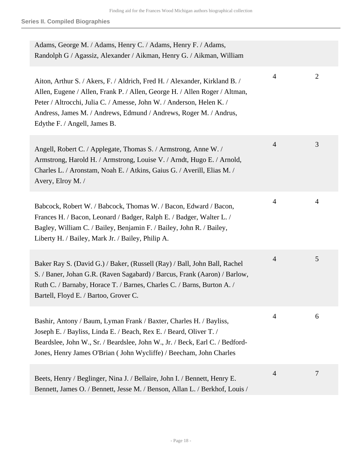| Adams, George M. / Adams, Henry C. / Adams, Henry F. / Adams,<br>Randolph G / Agassiz, Alexander / Aikman, Henry G. / Aikman, William                                                                                                                                                                                                 |                |              |
|---------------------------------------------------------------------------------------------------------------------------------------------------------------------------------------------------------------------------------------------------------------------------------------------------------------------------------------|----------------|--------------|
| Aiton, Arthur S. / Akers, F. / Aldrich, Fred H. / Alexander, Kirkland B. /<br>Allen, Eugene / Allen, Frank P. / Allen, George H. / Allen Roger / Altman,<br>Peter / Altrocchi, Julia C. / Amesse, John W. / Anderson, Helen K. /<br>Andress, James M. / Andrews, Edmund / Andrews, Roger M. / Andrus,<br>Edythe F. / Angell, James B. | $\overline{4}$ | $\mathbf{2}$ |
| Angell, Robert C. / Applegate, Thomas S. / Armstrong, Anne W. /<br>Armstrong, Harold H. / Armstrong, Louise V. / Arndt, Hugo E. / Arnold,<br>Charles L. / Aronstam, Noah E. / Atkins, Gaius G. / Averill, Elias M. /<br>Avery, Elroy M. /                                                                                             | $\overline{4}$ | 3            |
| Babcock, Robert W. / Babcock, Thomas W. / Bacon, Edward / Bacon,<br>Frances H. / Bacon, Leonard / Badger, Ralph E. / Badger, Walter L. /<br>Bagley, William C. / Bailey, Benjamin F. / Bailey, John R. / Bailey,<br>Liberty H. / Bailey, Mark Jr. / Bailey, Philip A.                                                                 | $\overline{4}$ | 4            |
| Baker Ray S. (David G.) / Baker, (Russell (Ray) / Ball, John Ball, Rachel<br>S. / Baner, Johan G.R. (Raven Sagabard) / Barcus, Frank (Aaron) / Barlow,<br>Ruth C. / Barnaby, Horace T. / Barnes, Charles C. / Barns, Burton A. /<br>Bartell, Floyd E. / Bartoo, Grover C.                                                             | $\overline{4}$ | 5            |
| Bashir, Antony / Baum, Lyman Frank / Baxter, Charles H. / Bayliss,<br>Joseph E. / Bayliss, Linda E. / Beach, Rex E. / Beard, Oliver T. /<br>Beardslee, John W., Sr. / Beardslee, John W., Jr. / Beck, Earl C. / Bedford-<br>Jones, Henry James O'Brian (John Wycliffe) / Beecham, John Charles                                        | 4              | 6            |
| Beets, Henry / Beglinger, Nina J. / Bellaire, John I. / Bennett, Henry E.<br>Bennett, James O. / Bennett, Jesse M. / Benson, Allan L. / Berkhof, Louis /                                                                                                                                                                              | $\overline{4}$ | 7            |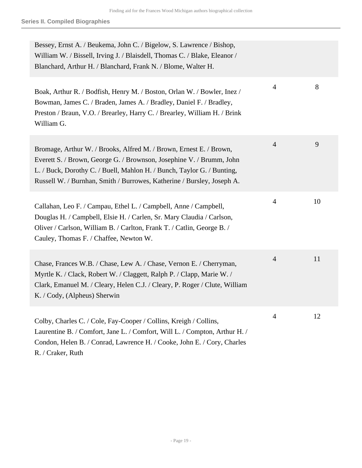| Bessey, Ernst A. / Beukema, John C. / Bigelow, S. Lawrence / Bishop,<br>William W. / Bissell, Irving J. / Blaisdell, Thomas C. / Blake, Eleanor /<br>Blanchard, Arthur H. / Blanchard, Frank N. / Blome, Walter H.                                                                             |                |    |
|------------------------------------------------------------------------------------------------------------------------------------------------------------------------------------------------------------------------------------------------------------------------------------------------|----------------|----|
| Boak, Arthur R. / Bodfish, Henry M. / Boston, Orlan W. / Bowler, Inez /<br>Bowman, James C. / Braden, James A. / Bradley, Daniel F. / Bradley,<br>Preston / Braun, V.O. / Brearley, Harry C. / Brearley, William H. / Brink<br>William G.                                                      | 4              | 8  |
| Bromage, Arthur W. / Brooks, Alfred M. / Brown, Ernest E. / Brown,<br>Everett S. / Brown, George G. / Brownson, Josephine V. / Brumm, John<br>L. / Buck, Dorothy C. / Buell, Mahlon H. / Bunch, Taylor G. / Bunting,<br>Russell W. / Burnhan, Smith / Burrowes, Katherine / Bursley, Joseph A. | $\overline{4}$ | 9  |
| Callahan, Leo F. / Campau, Ethel L. / Campbell, Anne / Campbell,<br>Douglas H. / Campbell, Elsie H. / Carlen, Sr. Mary Claudia / Carlson,<br>Oliver / Carlson, William B. / Carlton, Frank T. / Catlin, George B. /<br>Cauley, Thomas F. / Chaffee, Newton W.                                  | 4              | 10 |
| Chase, Frances W.B. / Chase, Lew A. / Chase, Vernon E. / Cherryman,<br>Myrtle K. / Clack, Robert W. / Claggett, Ralph P. / Clapp, Marie W. /<br>Clark, Emanuel M. / Cleary, Helen C.J. / Cleary, P. Roger / Clute, William<br>K. / Cody, (Alpheus) Sherwin                                     | $\overline{4}$ | 11 |
| Colby, Charles C. / Cole, Fay-Cooper / Collins, Kreigh / Collins,<br>Laurentine B. / Comfort, Jane L. / Comfort, Will L. / Compton, Arthur H. /<br>Condon, Helen B. / Conrad, Lawrence H. / Cooke, John E. / Cory, Charles<br>R. / Craker, Ruth                                                | 4              | 12 |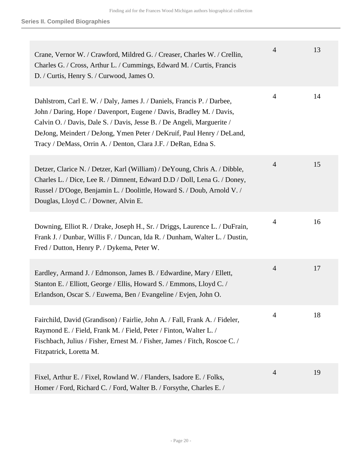| Crane, Vernor W. / Crawford, Mildred G. / Creaser, Charles W. / Crellin,<br>Charles G. / Cross, Arthur L. / Cummings, Edward M. / Curtis, Francis<br>D. / Curtis, Henry S. / Curwood, James O.                                                                                                                                                                      | $\overline{4}$ | 13 |
|---------------------------------------------------------------------------------------------------------------------------------------------------------------------------------------------------------------------------------------------------------------------------------------------------------------------------------------------------------------------|----------------|----|
| Dahlstrom, Carl E. W. / Daly, James J. / Daniels, Francis P. / Darbee,<br>John / Daring, Hope / Davenport, Eugene / Davis, Bradley M. / Davis,<br>Calvin O. / Davis, Dale S. / Davis, Jesse B. / De Angeli, Marguerite /<br>DeJong, Meindert / DeJong, Ymen Peter / DeKruif, Paul Henry / DeLand,<br>Tracy / DeMass, Orrin A. / Denton, Clara J.F. / DeRan, Edna S. | 4              | 14 |
| Detzer, Clarice N. / Detzer, Karl (William) / DeYoung, Chris A. / Dibble,<br>Charles L. / Dice, Lee R. / Dimnent, Edward D.D / Doll, Lena G. / Doney,<br>Russel / D'Ooge, Benjamin L. / Doolittle, Howard S. / Doub, Arnold V. /<br>Douglas, Lloyd C. / Downer, Alvin E.                                                                                            | $\overline{4}$ | 15 |
| Downing, Elliot R. / Drake, Joseph H., Sr. / Driggs, Laurence L. / DuFrain,<br>Frank J. / Dunbar, Willis F. / Duncan, Ida R. / Dunham, Walter L. / Dustin,<br>Fred / Dutton, Henry P. / Dykema, Peter W.                                                                                                                                                            | $\overline{4}$ | 16 |
| Eardley, Armand J. / Edmonson, James B. / Edwardine, Mary / Ellett,<br>Stanton E. / Elliott, George / Ellis, Howard S. / Emmons, Lloyd C. /<br>Erlandson, Oscar S. / Euwema, Ben / Evangeline / Evjen, John O.                                                                                                                                                      | $\overline{4}$ | 17 |
| Fairchild, David (Grandison) / Fairlie, John A. / Fall, Frank A. / Fideler,<br>Raymond E. / Field, Frank M. / Field, Peter / Finton, Walter L. /<br>Fischbach, Julius / Fisher, Ernest M. / Fisher, James / Fitch, Roscoe C. /<br>Fitzpatrick, Loretta M.                                                                                                           | 4              | 18 |
| Fixel, Arthur E. / Fixel, Rowland W. / Flanders, Isadore E. / Folks,<br>Homer / Ford, Richard C. / Ford, Walter B. / Forsythe, Charles E. /                                                                                                                                                                                                                         | $\overline{4}$ | 19 |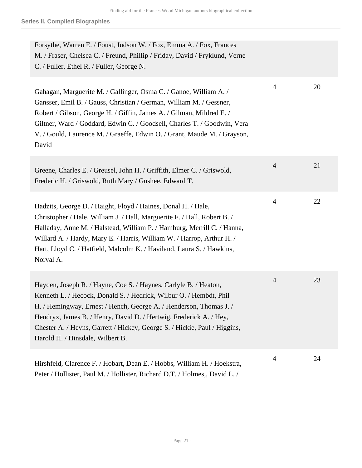| Forsythe, Warren E. / Foust, Judson W. / Fox, Emma A. / Fox, Frances<br>M. / Fraser, Chelsea C. / Freund, Phillip / Friday, David / Fryklund, Verne<br>C. / Fuller, Ethel R. / Fuller, George N.                                                                                                                                                                                                    |                |    |
|-----------------------------------------------------------------------------------------------------------------------------------------------------------------------------------------------------------------------------------------------------------------------------------------------------------------------------------------------------------------------------------------------------|----------------|----|
| Gahagan, Marguerite M. / Gallinger, Osma C. / Ganoe, William A. /<br>Gansser, Emil B. / Gauss, Christian / German, William M. / Gessner,<br>Robert / Gibson, George H. / Giffin, James A. / Gilman, Mildred E. /<br>Giltner, Ward / Goddard, Edwin C. / Goodsell, Charles T. / Goodwin, Vera<br>V. / Gould, Laurence M. / Graeffe, Edwin O. / Grant, Maude M. / Grayson,<br>David                   | $\overline{4}$ | 20 |
| Greene, Charles E. / Greusel, John H. / Griffith, Elmer C. / Griswold,<br>Frederic H. / Griswold, Ruth Mary / Gushee, Edward T.                                                                                                                                                                                                                                                                     | $\overline{4}$ | 21 |
| Hadzits, George D. / Haight, Floyd / Haines, Donal H. / Hale,<br>Christopher / Hale, William J. / Hall, Marguerite F. / Hall, Robert B. /<br>Halladay, Anne M. / Halstead, William P. / Hamburg, Merrill C. / Hanna,<br>Willard A. / Hardy, Mary E. / Harris, William W. / Harrop, Arthur H. /<br>Hart, Lloyd C. / Hatfield, Malcolm K. / Haviland, Laura S. / Hawkins,<br>Norval A.                | 4              | 22 |
| Hayden, Joseph R. / Hayne, Coe S. / Haynes, Carlyle B. / Heaton,<br>Kenneth L. / Hecock, Donald S. / Hedrick, Wilbur O. / Hembdt, Phil<br>H. / Hemingway, Ernest / Hench, George A. / Henderson, Thomas J. /<br>Hendryx, James B. / Henry, David D. / Hertwig, Frederick A. / Hey,<br>Chester A. / Heyns, Garrett / Hickey, George S. / Hickie, Paul / Higgins,<br>Harold H. / Hinsdale, Wilbert B. | $\overline{4}$ | 23 |
| Hirshfeld, Clarence F. / Hobart, Dean E. / Hobbs, William H. / Hoekstra,<br>Peter / Hollister, Paul M. / Hollister, Richard D.T. / Holmes,, David L. /                                                                                                                                                                                                                                              | 4              | 24 |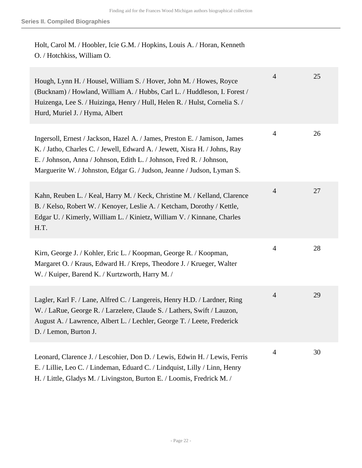Holt, Carol M. / Hoobler, Icie G.M. / Hopkins, Louis A. / Horan, Kenneth O. / Hotchkiss, William O.

| Hough, Lynn H. / Housel, William S. / Hover, John M. / Howes, Royce<br>(Bucknam) / Howland, William A. / Hubbs, Carl L. / Huddleson, I. Forest /<br>Huizenga, Lee S. / Huizinga, Henry / Hull, Helen R. / Hulst, Cornelia S. /<br>Hurd, Muriel J. / Hyma, Albert                                           | $\overline{4}$ | 25 |
|------------------------------------------------------------------------------------------------------------------------------------------------------------------------------------------------------------------------------------------------------------------------------------------------------------|----------------|----|
| Ingersoll, Ernest / Jackson, Hazel A. / James, Preston E. / Jamison, James<br>K. / Jatho, Charles C. / Jewell, Edward A. / Jewett, Xisra H. / Johns, Ray<br>E. / Johnson, Anna / Johnson, Edith L. / Johnson, Fred R. / Johnson,<br>Marguerite W. / Johnston, Edgar G. / Judson, Jeanne / Judson, Lyman S. | $\overline{4}$ | 26 |
| Kahn, Reuben L. / Keal, Harry M. / Keck, Christine M. / Kelland, Clarence<br>B. / Kelso, Robert W. / Kenoyer, Leslie A. / Ketcham, Dorothy / Kettle,<br>Edgar U. / Kimerly, William L. / Kinietz, William V. / Kinnane, Charles<br>H.T.                                                                    | $\overline{4}$ | 27 |
| Kirn, George J. / Kohler, Eric L. / Koopman, George R. / Koopman,<br>Margaret O. / Kraus, Edward H. / Kreps, Theodore J. / Krueger, Walter<br>W. / Kuiper, Barend K. / Kurtzworth, Harry M. /                                                                                                              | $\overline{4}$ | 28 |
| Lagler, Karl F. / Lane, Alfred C. / Langereis, Henry H.D. / Lardner, Ring<br>W. / LaRue, George R. / Larzelere, Claude S. / Lathers, Swift / Lauzon,<br>August A. / Lawrence, Albert L. / Lechler, George T. / Leete, Frederick<br>D. / Lemon, Burton J.                                                   | $\overline{4}$ | 29 |
| Leonard, Clarence J. / Lescohier, Don D. / Lewis, Edwin H. / Lewis, Ferris<br>E. / Lillie, Leo C. / Lindeman, Eduard C. / Lindquist, Lilly / Linn, Henry<br>H. / Little, Gladys M. / Livingston, Burton E. / Loomis, Fredrick M. /                                                                         | $\overline{4}$ | 30 |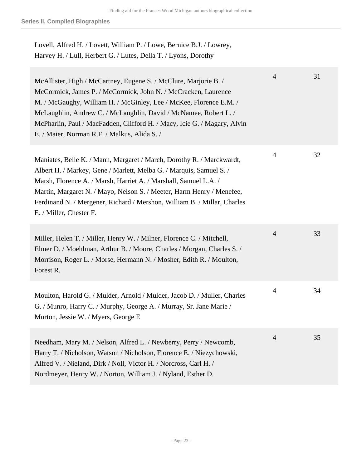| Lovell, Alfred H. / Lovett, William P. / Lowe, Bernice B.J. / Lowrey, |  |
|-----------------------------------------------------------------------|--|
| Harvey H. / Lull, Herbert G. / Lutes, Della T. / Lyons, Dorothy       |  |

| McAllister, High / McCartney, Eugene S. / McClure, Marjorie B. /<br>McCormick, James P. / McCormick, John N. / McCracken, Laurence<br>M. / McGaughy, William H. / McGinley, Lee / McKee, Florence E.M. /<br>McLaughlin, Andrew C. / McLaughlin, David / McNamee, Robert L. /<br>McPharlin, Paul / MacFadden, Clifford H. / Macy, Icie G. / Magary, Alvin<br>E. / Maier, Norman R.F. / Malkus, Alida S. / | $\overline{4}$ | 31 |
|----------------------------------------------------------------------------------------------------------------------------------------------------------------------------------------------------------------------------------------------------------------------------------------------------------------------------------------------------------------------------------------------------------|----------------|----|
| Maniates, Belle K. / Mann, Margaret / March, Dorothy R. / Marckwardt,<br>Albert H. / Markey, Gene / Marlett, Melba G. / Marquis, Samuel S. /<br>Marsh, Florence A. / Marsh, Harriet A. / Marshall, Samuel L.A. /<br>Martin, Margaret N. / Mayo, Nelson S. / Meeter, Harm Henry / Menefee,<br>Ferdinand N. / Mergener, Richard / Mershon, William B. / Millar, Charles<br>E. / Miller, Chester F.         | $\overline{4}$ | 32 |
| Miller, Helen T. / Miller, Henry W. / Milner, Florence C. / Mitchell,<br>Elmer D. / Moehlman, Arthur B. / Moore, Charles / Morgan, Charles S. /<br>Morrison, Roger L. / Morse, Hermann N. / Mosher, Edith R. / Moulton,<br>Forest R.                                                                                                                                                                     | $\overline{4}$ | 33 |
| Moulton, Harold G. / Mulder, Arnold / Mulder, Jacob D. / Muller, Charles<br>G. / Munro, Harry C. / Murphy, George A. / Murray, Sr. Jane Marie /<br>Murton, Jessie W. / Myers, George E                                                                                                                                                                                                                   | $\overline{4}$ | 34 |
| Needham, Mary M. / Nelson, Alfred L. / Newberry, Perry / Newcomb,<br>Harry T. / Nicholson, Watson / Nicholson, Florence E. / Niezychowski,<br>Alfred V. / Nieland, Dirk / Noll, Victor H. / Norcross, Carl H. /<br>Nordmeyer, Henry W. / Norton, William J. / Nyland, Esther D.                                                                                                                          | $\overline{4}$ | 35 |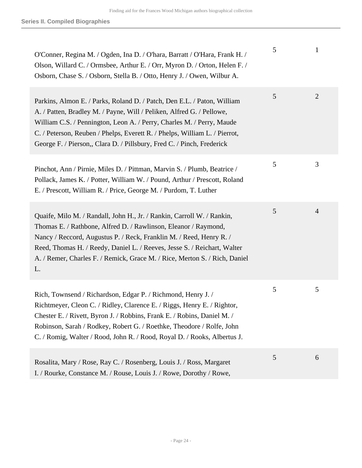| O'Conner, Regina M. / Ogden, Ina D. / O'hara, Barratt / O'Hara, Frank H. /<br>Olson, Willard C. / Ormsbee, Arthur E. / Orr, Myron D. / Orton, Helen F. /<br>Osborn, Chase S. / Osborn, Stella B. / Otto, Henry J. / Owen, Wilbur A.                                                                                                                                               | 5 | 1              |
|-----------------------------------------------------------------------------------------------------------------------------------------------------------------------------------------------------------------------------------------------------------------------------------------------------------------------------------------------------------------------------------|---|----------------|
| Parkins, Almon E. / Parks, Roland D. / Patch, Den E.L. / Paton, William<br>A. / Patten, Bradley M. / Payne, Will / Peliken, Alfred G. / Pellowe,<br>William C.S. / Pennington, Leon A. / Perry, Charles M. / Perry, Maude<br>C. / Peterson, Reuben / Phelps, Everett R. / Phelps, William L. / Pierrot,<br>George F. / Pierson,, Clara D. / Pillsbury, Fred C. / Pinch, Frederick | 5 | $\overline{2}$ |
| Pinchot, Ann / Pirnie, Miles D. / Pittman, Marvin S. / Plumb, Beatrice /<br>Pollack, James K. / Potter, William W. / Pound, Arthur / Prescott, Roland<br>E. / Prescott, William R. / Price, George M. / Purdom, T. Luther                                                                                                                                                         | 5 | 3              |
| Quaife, Milo M. / Randall, John H., Jr. / Rankin, Carroll W. / Rankin,<br>Thomas E. / Rathbone, Alfred D. / Rawlinson, Eleanor / Raymond,<br>Nancy / Reccord, Augustus P. / Reck, Franklin M. / Reed, Henry R. /<br>Reed, Thomas H. / Reedy, Daniel L. / Reeves, Jesse S. / Reichart, Walter<br>A. / Remer, Charles F. / Remick, Grace M. / Rice, Merton S. / Rich, Daniel<br>L.  | 5 | $\overline{4}$ |
| Rich, Townsend / Richardson, Edgar P. / Richmond, Henry J. /<br>Richtmeyer, Cleon C. / Ridley, Clarence E. / Riggs, Henry E. / Rightor,<br>Chester E. / Rivett, Byron J. / Robbins, Frank E. / Robins, Daniel M. /<br>Robinson, Sarah / Rodkey, Robert G. / Roethke, Theodore / Rolfe, John<br>C. / Romig, Walter / Rood, John R. / Rood, Royal D. / Rooks, Albertus J.           | 5 | 5              |
| Rosalita, Mary / Rose, Ray C. / Rosenberg, Louis J. / Ross, Margaret<br>I. / Rourke, Constance M. / Rouse, Louis J. / Rowe, Dorothy / Rowe,                                                                                                                                                                                                                                       | 5 | 6              |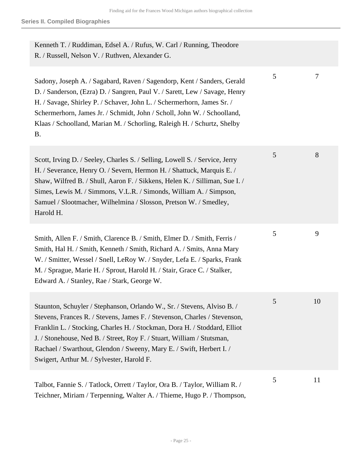| Kenneth T. / Ruddiman, Edsel A. / Rufus, W. Carl / Running, Theodore<br>R. / Russell, Nelson V. / Ruthven, Alexander G.                                                                                                                                                                                                                                                                                                          |   |    |
|----------------------------------------------------------------------------------------------------------------------------------------------------------------------------------------------------------------------------------------------------------------------------------------------------------------------------------------------------------------------------------------------------------------------------------|---|----|
| Sadony, Joseph A. / Sagabard, Raven / Sagendorp, Kent / Sanders, Gerald<br>D. / Sanderson, (Ezra) D. / Sangren, Paul V. / Sarett, Lew / Savage, Henry<br>H. / Savage, Shirley P. / Schaver, John L. / Schermerhorn, James Sr. /<br>Schermerhorn, James Jr. / Schmidt, John / Scholl, John W. / Schoolland,<br>Klaas / Schoolland, Marian M. / Schorling, Raleigh H. / Schurtz, Shelby<br><b>B.</b>                               | 5 | 7  |
| Scott, Irving D. / Seeley, Charles S. / Selling, Lowell S. / Service, Jerry<br>H. / Severance, Henry O. / Severn, Hermon H. / Shattuck, Marquis E. /<br>Shaw, Wilfred B. / Shull, Aaron F. / Sikkens, Helen K. / Silliman, Sue I. /<br>Simes, Lewis M. / Simmons, V.L.R. / Simonds, William A. / Simpson,<br>Samuel / Slootmacher, Wilhelmina / Slosson, Pretson W. / Smedley,<br>Harold H.                                      | 5 | 8  |
| Smith, Allen F. / Smith, Clarence B. / Smith, Elmer D. / Smith, Ferris /<br>Smith, Hal H. / Smith, Kenneth / Smith, Richard A. / Smits, Anna Mary<br>W. / Smitter, Wessel / Snell, LeRoy W. / Snyder, Lefa E. / Sparks, Frank<br>M. / Sprague, Marie H. / Sprout, Harold H. / Stair, Grace C. / Stalker,<br>Edward A. / Stanley, Rae / Stark, George W.                                                                          | 5 | 9  |
| Staunton, Schuyler / Stephanson, Orlando W., Sr. / Stevens, Alviso B. /<br>Stevens, Frances R. / Stevens, James F. / Stevenson, Charles / Stevenson,<br>Franklin L. / Stocking, Charles H. / Stockman, Dora H. / Stoddard, Elliot<br>J. / Stonehouse, Ned B. / Street, Roy F. / Stuart, William / Stutsman,<br>Rachael / Swarthout, Glendon / Sweeny, Mary E. / Swift, Herbert I. /<br>Swigert, Arthur M. / Sylvester, Harold F. | 5 | 10 |
| Talbot, Fannie S. / Tatlock, Orrett / Taylor, Ora B. / Taylor, William R. /<br>Teichner, Miriam / Terpenning, Walter A. / Thieme, Hugo P. / Thompson,                                                                                                                                                                                                                                                                            | 5 | 11 |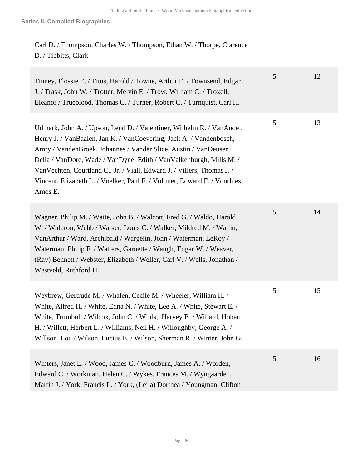Carl D. / Thompson, Charles W. / Thompson, Ethan W. / Thorpe, Clarence D. / Tibbitts, Clark

| Tinney, Flossie E. / Titus, Harold / Towne, Arthur E. / Townsend, Edgar<br>J. / Trask, John W. / Trotter, Melvin E. / Trow, William C. / Troxell,<br>Eleanor / Trueblood, Thomas C. / Turner, Robert C. / Turnquist, Carl H.                                                                                                                                                                                                                                | 5 | 12 |
|-------------------------------------------------------------------------------------------------------------------------------------------------------------------------------------------------------------------------------------------------------------------------------------------------------------------------------------------------------------------------------------------------------------------------------------------------------------|---|----|
| Udmark, John A. / Upson, Lend D. / Valentiner, Wilhelm R. / VanAndel,<br>Henry J. / VanBaalen, Jan K. / VanCoevering, Jack A. / Vandenbosch,<br>Amry / VandenBroek, Johannes / Vander Slice, Austin / VanDeusen,<br>Delia / VanDore, Wade / VanDyne, Edith / VanValkenburgh, Mills M. /<br>Van Vechten, Courtland C., Jr. / Viall, Edward J. / Villers, Thomas J. /<br>Vincent, Elizabeth L. / Voelker, Paul F. / Voltmer, Edward F. / Voorhies,<br>Amos E. | 5 | 13 |
| Wagner, Philip M. / Waite, John B. / Walcott, Fred G. / Waldo, Harold<br>W. / Waldron, Webb / Walker, Louis C. / Walker, Mildred M. / Wallin,<br>VanArthur / Ward, Archibald / Wargelin, John / Waterman, LeRoy /<br>Waterman, Philip F. / Watters, Garnette / Waugh, Edgar W. / Weaver,<br>(Ray) Bennett / Webster, Elizabeth / Weller, Carl V. / Wells, Jonathan /<br>Westveld, Ruthford H.                                                               | 5 | 14 |
| Weybrew, Gertrude M. / Whalen, Cecile M. / Wheeler, William H. /<br>White, Alfred H. / White, Edna N. / White, Lee A. / White, Stewart E. /<br>White, Trumbull / Wilcox, John C. / Wilds,, Harvey B. / Willard, Hobart<br>H. / Willett, Herbert L. / Williams, Neil H. / Willoughby, George A. /<br>Willson, Lou / Wilson, Lucius E. / Wilson, Sherman R. / Winter, John G.                                                                                 | 5 | 15 |
| Winters, Janet L. / Wood, James C. / Woodburn, James A. / Worden,<br>Edward C. / Workman, Helen C. / Wykes, Frances M. / Wyngaarden,<br>Martin J. / York, Francis L. / York, (Leila) Dorthea / Youngman, Clifton                                                                                                                                                                                                                                            | 5 | 16 |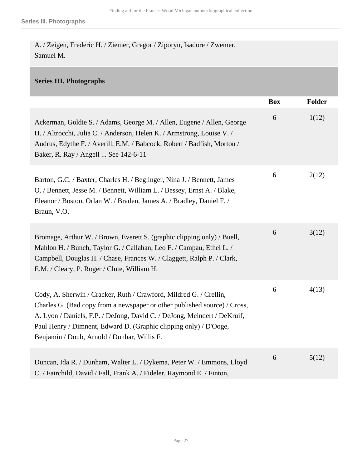A. / Zeigen, Frederic H. / Ziemer, Gregor / Ziporyn, Isadore / Zwemer, Samuel M.

#### <span id="page-26-0"></span>**Series III. Photographs**

|                                                                                                                                                                                                                                                                                                                                                 | <b>Box</b> | Folder |
|-------------------------------------------------------------------------------------------------------------------------------------------------------------------------------------------------------------------------------------------------------------------------------------------------------------------------------------------------|------------|--------|
| Ackerman, Goldie S. / Adams, George M. / Allen, Eugene / Allen, George<br>H. / Altrocchi, Julia C. / Anderson, Helen K. / Armstrong, Louise V. /<br>Audrus, Edythe F. / Averill, E.M. / Babcock, Robert / Badfish, Morton /<br>Baker, R. Ray / Angell  See 142-6-11                                                                             | 6          | 1(12)  |
| Barton, G.C. / Baxter, Charles H. / Beglinger, Nina J. / Bennett, James<br>O. / Bennett, Jesse M. / Bennett, William L. / Bessey, Ernst A. / Blake,<br>Eleanor / Boston, Orlan W. / Braden, James A. / Bradley, Daniel F. /<br>Braun, V.O.                                                                                                      | 6          | 2(12)  |
| Bromage, Arthur W. / Brown, Everett S. (graphic clipping only) / Buell,<br>Mahlon H. / Bunch, Taylor G. / Callahan, Leo F. / Campau, Ethel L. /<br>Campbell, Douglas H. / Chase, Frances W. / Claggett, Ralph P. / Clark,<br>E.M. / Cleary, P. Roger / Clute, William H.                                                                        | 6          | 3(12)  |
| Cody, A. Sherwin / Cracker, Ruth / Crawford, Mildred G. / Crellin,<br>Charles G. (Bad copy from a newspaper or other published source) / Cross,<br>A. Lyon / Daniels, F.P. / DeJong, David C. / DeJong, Meindert / DeKruif,<br>Paul Henry / Dimnent, Edward D. (Graphic clipping only) / D'Ooge,<br>Benjamin / Doub, Arnold / Dunbar, Willis F. | 6          | 4(13)  |
| Duncan, Ida R. / Dunham, Walter L. / Dykema, Peter W. / Emmons, Lloyd<br>C. / Fairchild, David / Fall, Frank A. / Fideler, Raymond E. / Finton,                                                                                                                                                                                                 | 6          | 5(12)  |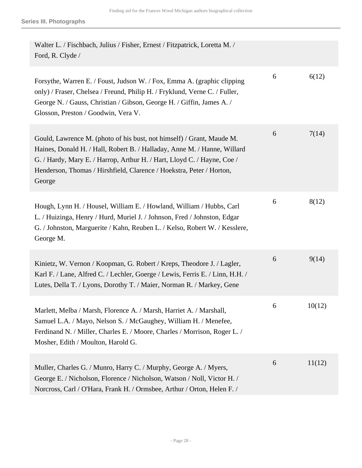| Walter L. / Fischbach, Julius / Fisher, Ernest / Fitzpatrick, Loretta M. /<br>Ford, R. Clyde /                                                                                                                                                                                                                 |   |        |
|----------------------------------------------------------------------------------------------------------------------------------------------------------------------------------------------------------------------------------------------------------------------------------------------------------------|---|--------|
| Forsythe, Warren E. / Foust, Judson W. / Fox, Emma A. (graphic clipping<br>only) / Fraser, Chelsea / Freund, Philip H. / Fryklund, Verne C. / Fuller,<br>George N. / Gauss, Christian / Gibson, George H. / Giffin, James A. /<br>Glosson, Preston / Goodwin, Vera V.                                          | 6 | 6(12)  |
| Gould, Lawrence M. (photo of his bust, not himself) / Grant, Maude M.<br>Haines, Donald H. / Hall, Robert B. / Halladay, Anne M. / Hanne, Willard<br>G. / Hardy, Mary E. / Harrop, Arthur H. / Hart, Lloyd C. / Hayne, Coe /<br>Henderson, Thomas / Hirshfield, Clarence / Hoekstra, Peter / Horton,<br>George | 6 | 7(14)  |
| Hough, Lynn H. / Housel, William E. / Howland, William / Hubbs, Carl<br>L. / Huizinga, Henry / Hurd, Muriel J. / Johnson, Fred / Johnston, Edgar<br>G. / Johnston, Marguerite / Kahn, Reuben L. / Kelso, Robert W. / Kesslere,<br>George M.                                                                    | 6 | 8(12)  |
| Kinietz, W. Vernon / Koopman, G. Robert / Kreps, Theodore J. / Lagler,<br>Karl F. / Lane, Alfred C. / Lechler, Goerge / Lewis, Ferris E. / Linn, H.H. /<br>Lutes, Della T. / Lyons, Dorothy T. / Maier, Norman R. / Markey, Gene                                                                               | 6 | 9(14)  |
| Marlett, Melba / Marsh, Florence A. / Marsh, Harriet A. / Marshall,<br>Samuel L.A. / Mayo, Nelson S. / McGaughey, William H. / Menefee,<br>Ferdinand N. / Miller, Charles E. / Moore, Charles / Morrison, Roger L. /<br>Mosher, Edith / Moulton, Harold G.                                                     | 6 | 10(12) |
| Muller, Charles G. / Munro, Harry C. / Murphy, George A. / Myers,<br>George E. / Nicholson, Florence / Nicholson, Watson / Noll, Victor H. /<br>Norcross, Carl / O'Hara, Frank H. / Ormsbee, Arthur / Orton, Helen F. /                                                                                        | 6 | 11(12) |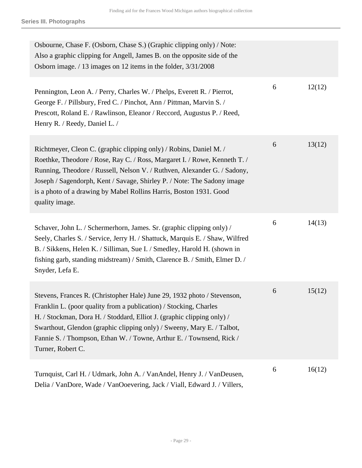**Series III. Photographs**

| Osbourne, Chase F. (Osborn, Chase S.) (Graphic clipping only) / Note:<br>Also a graphic clipping for Angell, James B. on the opposite side of the<br>Osborn image. / 13 images on 12 items in the folder, 3/31/2008                                                                                                                                                                            |   |        |
|------------------------------------------------------------------------------------------------------------------------------------------------------------------------------------------------------------------------------------------------------------------------------------------------------------------------------------------------------------------------------------------------|---|--------|
| Pennington, Leon A. / Perry, Charles W. / Phelps, Everett R. / Pierrot,<br>George F. / Pillsbury, Fred C. / Pinchot, Ann / Pittman, Marvin S. /<br>Prescott, Roland E. / Rawlinson, Eleanor / Reccord, Augustus P. / Reed,<br>Henry R. / Reedy, Daniel L. /                                                                                                                                    | 6 | 12(12) |
| Richtmeyer, Cleon C. (graphic clipping only) / Robins, Daniel M. /<br>Roethke, Theodore / Rose, Ray C. / Ross, Margaret I. / Rowe, Kenneth T. /<br>Running, Theodore / Russell, Nelson V. / Ruthven, Alexander G. / Sadony,<br>Joseph / Sagendorph, Kent / Savage, Shirley P. / Note: The Sadony image<br>is a photo of a drawing by Mabel Rollins Harris, Boston 1931. Good<br>quality image. | 6 | 13(12) |
| Schaver, John L. / Schermerhorn, James. Sr. (graphic clipping only) /<br>Seely, Charles S. / Service, Jerry H. / Shattuck, Marquis E. / Shaw, Wilfred<br>B. / Sikkens, Helen K. / Silliman, Sue I. / Smedley, Harold H. (shown in<br>fishing garb, standing midstream) / Smith, Clarence B. / Smith, Elmer D. /<br>Snyder, Lefa E.                                                             | 6 | 14(13) |
| Stevens, Frances R. (Christopher Hale) June 29, 1932 photo / Stevenson,<br>Franklin L. (poor quality from a publication) / Stocking, Charles<br>H. / Stockman, Dora H. / Stoddard, Elliot J. (graphic clipping only) /<br>Swarthout, Glendon (graphic clipping only) / Sweeny, Mary E. / Talbot,<br>Fannie S. / Thompson, Ethan W. / Towne, Arthur E. / Townsend, Rick /<br>Turner, Robert C.  | 6 | 15(12) |
| Turnquist, Carl H. / Udmark, John A. / VanAndel, Henry J. / VanDeusen,<br>Delia / VanDore, Wade / VanOoevering, Jack / Viall, Edward J. / Villers,                                                                                                                                                                                                                                             | 6 | 16(12) |